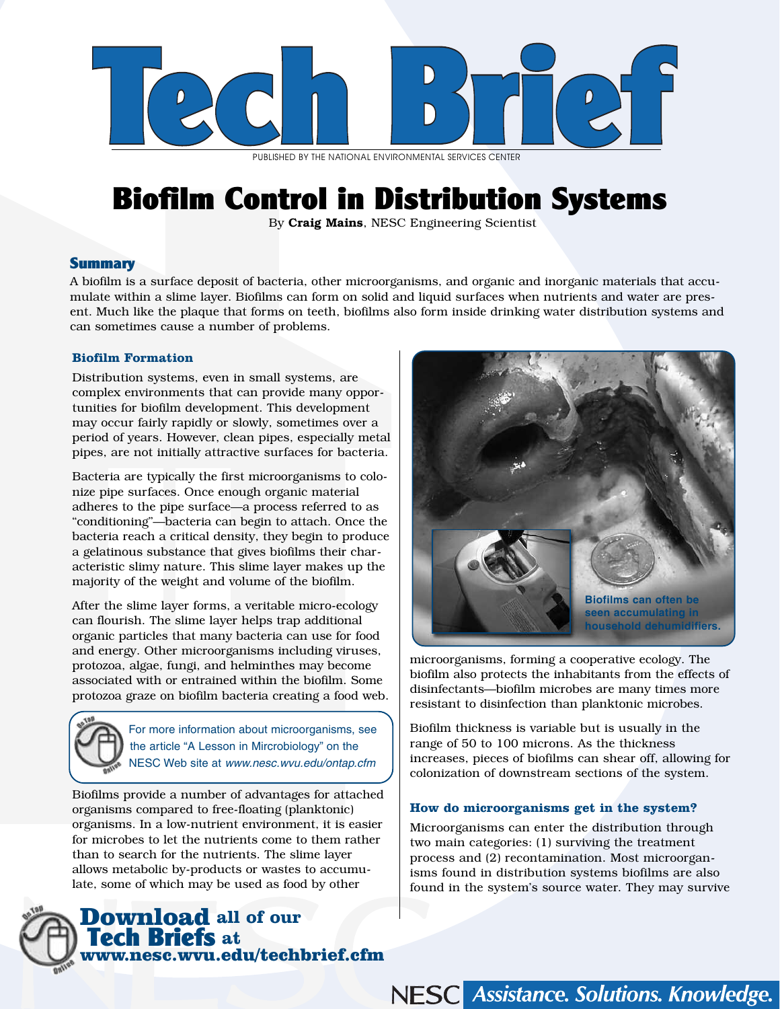

PUBLISHED BY THE NATIONAL ENVIRONMENTAL SERVICES CENTER

# Biofilm Control in Distribution Systems

By Craig Mains, NESC Engineering Scientist

# **Summary**

A biofilm is a surface deposit of bacteria, other microorganisms, and organic and inorganic materials that accumulate within a slime layer. Biofilms can form on solid and liquid surfaces when nutrients and water are present. Much like the plaque that forms on teeth, biofilms also form inside drinking water distribution systems and can sometimes cause a number of problems.

# **Biofilm Formation**

Distribution systems, even in small systems, are complex environments that can provide many opportunities for biofilm development. This development may occur fairly rapidly or slowly, sometimes over a period of years. However, clean pipes, especially metal pipes, are not initially attractive surfaces for bacteria.

Bacteria are typically the first microorganisms to colonize pipe surfaces. Once enough organic material adheres to the pipe surface—a process referred to as "conditioning"—bacteria can begin to attach. Once the bacteria reach a critical density, they begin to produce a gelatinous substance that gives biofilms their characteristic slimy nature. This slime layer makes up the majority of the weight and volume of the biofilm.

After the slime layer forms, a veritable micro-ecology can flourish. The slime layer helps trap additional organic particles that many bacteria can use for food and energy. Other microorganisms including viruses, protozoa, algae, fungi, and helminthes may become associated with or entrained within the biofilm. Some protozoa graze on biofilm bacteria creating a food web.



For more information about microorganisms, see the article "A Lesson in Mircrobiology" on the NESC Web site at www.nesc.wvu.edu/ontap.cfm

Biofilms provide a number of advantages for attached organisms compared to free-floating (planktonic) organisms. In a low-nutrient environment, it is easier for microbes to let the nutrients come to them rather than to search for the nutrients. The slime layer allows metabolic by-products or wastes to accumulate, some of which may be used as food by other





microorganisms, forming a cooperative ecology. The biofilm also protects the inhabitants from the effects of disinfectants—biofilm microbes are many times more resistant to disinfection than planktonic microbes.

Biofilm thickness is variable but is usually in the range of 50 to 100 microns. As the thickness increases, pieces of biofilms can shear off, allowing for colonization of downstream sections of the system.

## **How do microorganisms get in the system?**

Microorganisms can enter the distribution through two main categories: (1) surviving the treatment process and (2) recontamination. Most microorganisms found in distribution systems biofilms are also found in the system's source water. They may survive

NESC Assistance. Solutions. Knowledge.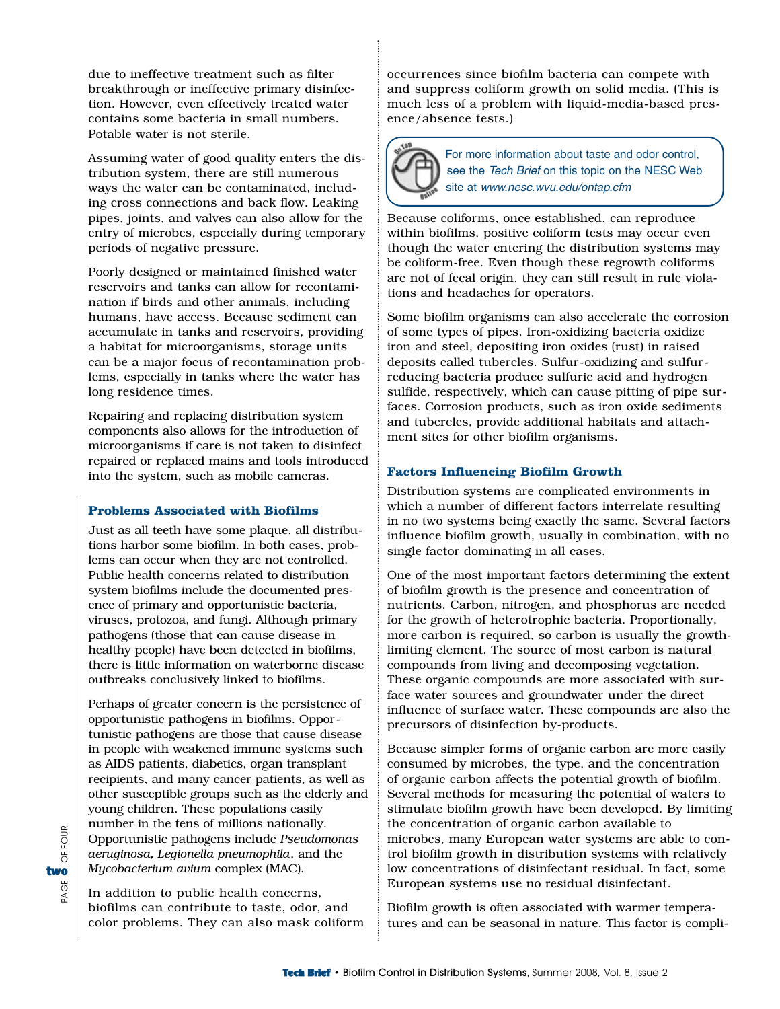due to ineffective treatment such as filter breakthrough or ineffective primary disinfection. However, even effectively treated water contains some bacteria in small numbers. Potable water is not sterile.

Assuming water of good quality enters the distribution system, there are still numerous ways the water can be contaminated, including cross connections and back flow. Leaking pipes, joints, and valves can also allow for the entry of microbes, especially during temporary periods of negative pressure.

Poorly designed or maintained finished water reservoirs and tanks can allow for recontamination if birds and other animals, including humans, have access. Because sediment can accumulate in tanks and reservoirs, providing a habitat for microorganisms, storage units can be a major focus of recontamination problems, especially in tanks where the water has long residence times.

Repairing and replacing distribution system components also allows for the introduction of microorganisms if care is not taken to disinfect repaired or replaced mains and tools introduced into the system, such as mobile cameras.

### **Problems Associated with Biofilms**

Just as all teeth have some plaque, all distributions harbor some biofilm. In both cases, problems can occur when they are not controlled. Public health concerns related to distribution system biofilms include the documented presence of primary and opportunistic bacteria, viruses, protozoa, and fungi. Although primary pathogens (those that can cause disease in healthy people) have been detected in biofilms, there is little information on waterborne disease outbreaks conclusively linked to biofilms.

Perhaps of greater concern is the persistence of opportunistic pathogens in biofilms. Opportunistic pathogens are those that cause disease in people with weakened immune systems such as AIDS patients, diabetics, organ transplant recipients, and many cancer patients, as well as other susceptible groups such as the elderly and young children. These populations easily number in the tens of millions nationally. Opportunistic pathogens include *Pseudomonas aeruginosa, Legionella pneumophila*, and the *Mycobacterium avium* complex (MAC).

In addition to public health concerns, biofilms can contribute to taste, odor, and color problems. They can also mask coliform occurrences since biofilm bacteria can compete with and suppress coliform growth on solid media. (This is much less of a problem with liquid-media-based presence/absence tests.)



For more information about taste and odor control, see the Tech Brief on this topic on the NESC Web site at www.nesc.wvu.edu/ontap.cfm

Because coliforms, once established, can reproduce within biofilms, positive coliform tests may occur even though the water entering the distribution systems may be coliform-free. Even though these regrowth coliforms are not of fecal origin, they can still result in rule violations and headaches for operators.

Some biofilm organisms can also accelerate the corrosion of some types of pipes. Iron-oxidizing bacteria oxidize iron and steel, depositing iron oxides (rust) in raised deposits called tubercles. Sulfur-oxidizing and sulfurreducing bacteria produce sulfuric acid and hydrogen sulfide, respectively, which can cause pitting of pipe surfaces. Corrosion products, such as iron oxide sediments and tubercles, provide additional habitats and attachment sites for other biofilm organisms.

### **Factors Influencing Biofilm Growth**

Distribution systems are complicated environments in which a number of different factors interrelate resulting in no two systems being exactly the same. Several factors influence biofilm growth, usually in combination, with no single factor dominating in all cases.

One of the most important factors determining the extent of biofilm growth is the presence and concentration of nutrients. Carbon, nitrogen, and phosphorus are needed for the growth of heterotrophic bacteria. Proportionally, more carbon is required, so carbon is usually the growthlimiting element. The source of most carbon is natural compounds from living and decomposing vegetation. These organic compounds are more associated with surface water sources and groundwater under the direct influence of surface water. These compounds are also the precursors of disinfection by-products.

Because simpler forms of organic carbon are more easily consumed by microbes, the type, and the concentration of organic carbon affects the potential growth of biofilm. Several methods for measuring the potential of waters to stimulate biofilm growth have been developed. By limiting the concentration of organic carbon available to microbes, many European water systems are able to control biofilm growth in distribution systems with relatively low concentrations of disinfectant residual. In fact, some European systems use no residual disinfectant.

Biofilm growth is often associated with warmer temperatures and can be seasonal in nature. This factor is compli-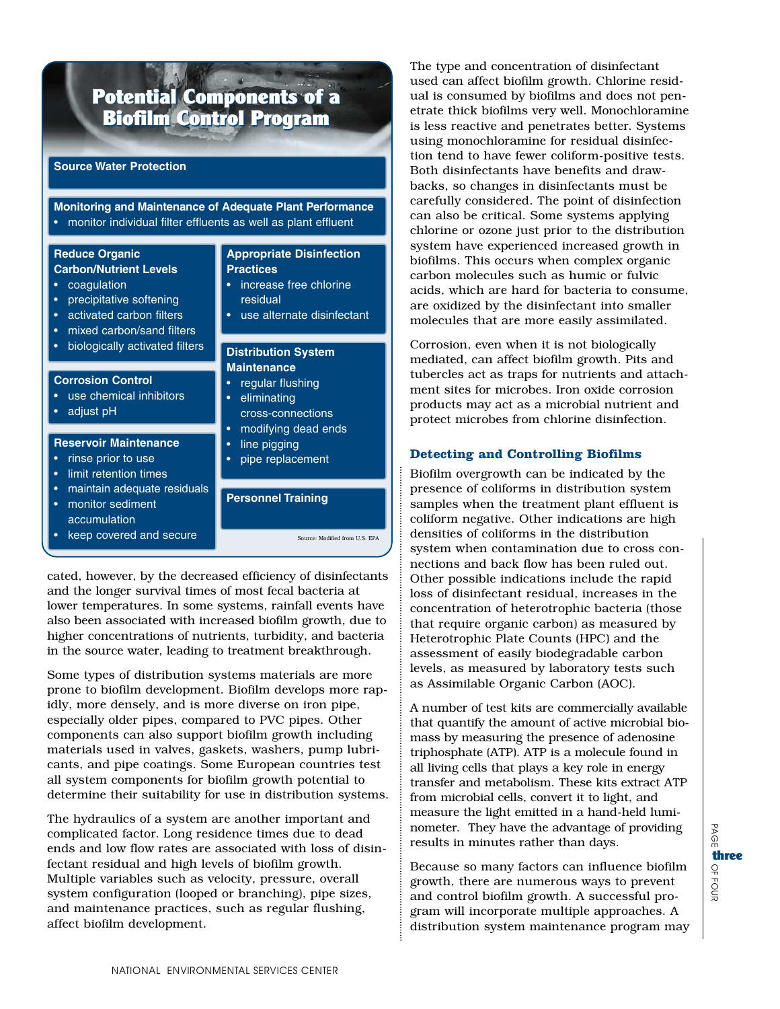#### Potential Components of a Biofilm Control Program Potential Components of a Biofilm Control Program

### **Source Water Protection**

# **Monitoring and Maintenance of Adequate Plant Performance**  • monitor individual filter effluents as well as plant effluent

### **Reduce Organic Carbon/Nutrient Levels**

- coagulation
- precipitative softening
- activated carbon filters
- mixed carbon/sand filters
- biologically activated filters

### **Corrosion Control**

- use chemical inhibitors
- adjust pH

### **Reservoir Maintenance**

- rinse prior to use
- limit retention times
- maintain adequate residuals
- monitor sediment accumulation
- keep covered and secure
- **Appropriate Disinfection Practices** increase free chlorine
- residual
- use alternate disinfectant

### **Distribution System Maintenance**

- regular flushing
- eliminating
- cross-connections
- modifying dead ends
- line pigging
- pipe replacement

# **Personnel Training**

Source: Modified from U.S. EPA

cated, however, by the decreased efficiency of disinfectants and the longer survival times of most fecal bacteria at lower temperatures. In some systems, rainfall events have also been associated with increased biofilm growth, due to higher concentrations of nutrients, turbidity, and bacteria in the source water, leading to treatment breakthrough.

Some types of distribution systems materials are more prone to biofilm development. Biofilm develops more rapidly, more densely, and is more diverse on iron pipe, especially older pipes, compared to PVC pipes. Other components can also support biofilm growth including materials used in valves, gaskets, washers, pump lubricants, and pipe coatings. Some European countries test all system components for biofilm growth potential to determine their suitability for use in distribution systems.

The hydraulics of a system are another important and complicated factor. Long residence times due to dead ends and low flow rates are associated with loss of disinfectant residual and high levels of biofilm growth. Multiple variables such as velocity, pressure, overall system configuration (looped or branching), pipe sizes, and maintenance practices, such as regular flushing, affect biofilm development.

The type and concentration of disinfectant used can affect biofilm growth. Chlorine residual is consumed by biofilms and does not penetrate thick biofilms very well. Monochloramine is less reactive and penetrates better. Systems using monochloramine for residual disinfection tend to have fewer coliform-positive tests. Both disinfectants have benefits and drawbacks, so changes in disinfectants must be carefully considered. The point of disinfection can also be critical. Some systems applying chlorine or ozone just prior to the distribution system have experienced increased growth in biofilms. This occurs when complex organic carbon molecules such as humic or fulvic acids, which are hard for bacteria to consume, are oxidized by the disinfectant into smaller molecules that are more easily assimilated.

Corrosion, even when it is not biologically mediated, can affect biofilm growth. Pits and tubercles act as traps for nutrients and attachment sites for microbes. Iron oxide corrosion products may act as a microbial nutrient and protect microbes from chlorine disinfection.

# **Detecting and Controlling Biofilms**

Biofilm overgrowth can be indicated by the presence of coliforms in distribution system samples when the treatment plant effluent is coliform negative. Other indications are high densities of coliforms in the distribution system when contamination due to cross connections and back flow has been ruled out. Other possible indications include the rapid loss of disinfectant residual, increases in the concentration of heterotrophic bacteria (those that require organic carbon) as measured by Heterotrophic Plate Counts (HPC) and the assessment of easily biodegradable carbon levels, as measured by laboratory tests such as Assimilable Organic Carbon (AOC).

A number of test kits are commercially available that quantify the amount of active microbial biomass by measuring the presence of adenosine triphosphate (ATP). ATP is a molecule found in all living cells that plays a key role in energy transfer and metabolism. These kits extract ATP from microbial cells, convert it to light, and measure the light emitted in a hand-held luminometer. They have the advantage of providing results in minutes rather than days.

Because so many factors can influence biofilm growth, there are numerous ways to prevent and control biofilm growth. A successful program will incorporate multiple approaches. A distribution system maintenance program may